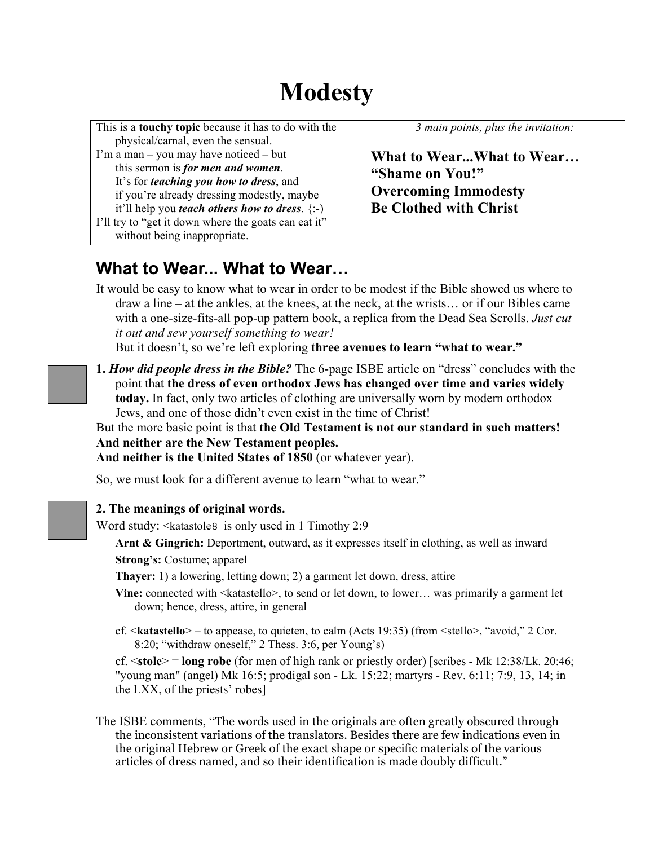# **Modesty**

| This is a <b>touchy topic</b> because it has to do with the<br>physical/carnal, even the sensual.                                                                                                                                                                                                                                         | 3 main points, plus the invitation:                                                                         |
|-------------------------------------------------------------------------------------------------------------------------------------------------------------------------------------------------------------------------------------------------------------------------------------------------------------------------------------------|-------------------------------------------------------------------------------------------------------------|
| I'm a man – you may have noticed – but<br>this sermon is <i>for men and women</i> .<br>It's for <i>teaching you how to dress</i> , and<br>if you're already dressing modestly, maybe<br>it'll help you <i>teach others how to dress</i> . $\{-\}$<br>I'll try to "get it down where the goats can eat it"<br>without being inappropriate. | What to WearWhat to Wear<br>"Shame on You!"<br><b>Overcoming Immodesty</b><br><b>Be Clothed with Christ</b> |

# **What to Wear... What to Wear…**

It would be easy to know what to wear in order to be modest if the Bible showed us where to draw a line – at the ankles, at the knees, at the neck, at the wrists… or if our Bibles came with a one-size-fits-all pop-up pattern book, a replica from the Dead Sea Scrolls. *Just cut it out and sew yourself something to wear!*

But it doesn't, so we're left exploring **three avenues to learn "what to wear."**

**1.** *How did people dress in the Bible?* The 6-page ISBE article on "dress" concludes with the point that **the dress of even orthodox Jews has changed over time and varies widely today.** In fact, only two articles of clothing are universally worn by modern orthodox Jews, and one of those didn't even exist in the time of Christ!

But the more basic point is that **the Old Testament is not our standard in such matters! And neither are the New Testament peoples.**

**And neither is the United States of 1850** (or whatever year).

So, we must look for a different avenue to learn "what to wear."

### **2. The meanings of original words.**

Word study: < katastoles is only used in 1 Timothy 2:9

**Arnt & Gingrich:** Deportment, outward, as it expresses itself in clothing, as well as inward **Strong's:** Costume; apparel

**Thayer:** 1) a lowering, letting down; 2) a garment let down, dress, attire

- Vine: connected with <katastello>, to send or let down, to lower... was primarily a garment let down; hence, dress, attire, in general
- cf. <**katastello**> to appease, to quieten, to calm (Acts 19:35) (from <stello>, "avoid," 2 Cor. 8:20; "withdraw oneself," 2 Thess. 3:6, per Young's)

cf. <**stole**> = **long robe** (for men of high rank or priestly order) [scribes - Mk 12:38/Lk. 20:46; "young man" (angel) Mk 16:5; prodigal son - Lk. 15:22; martyrs - Rev. 6:11; 7:9, 13, 14; in the LXX, of the priests' robes]

The ISBE comments, "The words used in the originals are often greatly obscured through the inconsistent variations of the translators. Besides there are few indications even in the original Hebrew or Greek of the exact shape or specific materials of the various articles of dress named, and so their identification is made doubly difficult."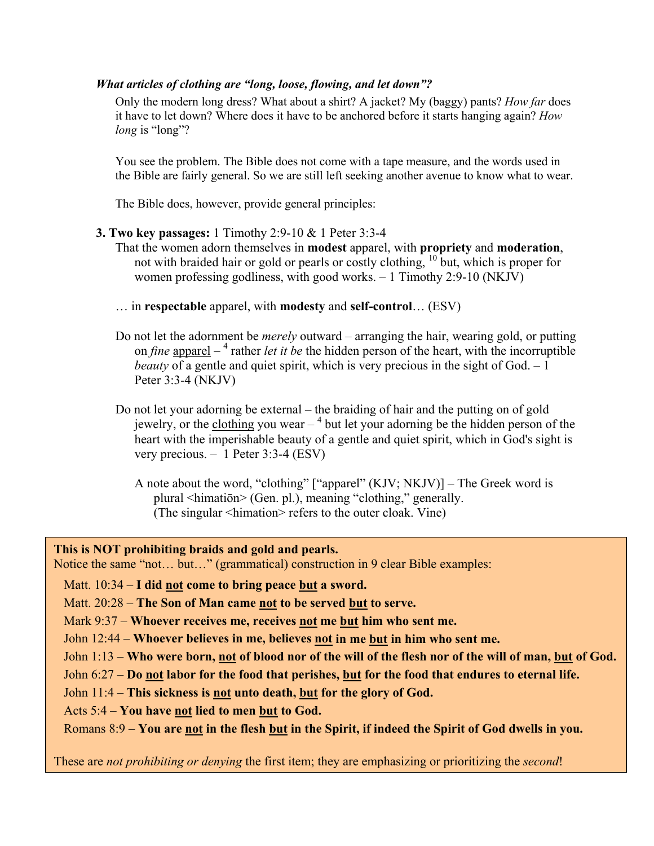#### *What articles of clothing are "long, loose, flowing, and let down"?*

Only the modern long dress? What about a shirt? A jacket? My (baggy) pants? *How far* does it have to let down? Where does it have to be anchored before it starts hanging again? *How long* is "long"?

You see the problem. The Bible does not come with a tape measure, and the words used in the Bible are fairly general. So we are still left seeking another avenue to know what to wear.

The Bible does, however, provide general principles:

#### **3. Two key passages:** 1 Timothy 2:9-10 & 1 Peter 3:3-4

That the women adorn themselves in **modest** apparel, with **propriety** and **moderation**, not with braided hair or gold or pearls or costly clothing, 10 but, which is proper for women professing godliness, with good works. – 1 Timothy 2:9-10 (NKJV)

- … in **respectable** apparel, with **modesty** and **self-control**… (ESV)
- Do not let the adornment be *merely* outward arranging the hair, wearing gold, or putting on *fine* apparel – <sup>4</sup> rather *let it be* the hidden person of the heart, with the incorruptible *beauty* of a gentle and quiet spirit, which is very precious in the sight of God. – 1 Peter 3:3-4 (NKJV)
- Do not let your adorning be external the braiding of hair and the putting on of gold jewelry, or the clothing you wear  $-$ <sup>4</sup> but let your adorning be the hidden person of the heart with the imperishable beauty of a gentle and quiet spirit, which in God's sight is very precious. – 1 Peter 3:3-4 (ESV)
	- A note about the word, "clothing" ["apparel" (KJV; NKJV)] The Greek word is plural <himatiōn> (Gen. pl.), meaning "clothing," generally. (The singular <himation> refers to the outer cloak. Vine)

**This is NOT prohibiting braids and gold and pearls.**

Notice the same "not… but…" (grammatical) construction in 9 clear Bible examples:

Matt. 10:34 – **I did not come to bring peace but a sword.**

Matt. 20:28 – **The Son of Man came not to be served but to serve.**

Mark 9:37 – **Whoever receives me, receives not me but him who sent me.**

John 12:44 – **Whoever believes in me, believes not in me but in him who sent me.**

John 1:13 – **Who were born, not of blood nor of the will of the flesh nor of the will of man, but of God.** 

John 6:27 – **Do not labor for the food that perishes, but for the food that endures to eternal life.**

John 11:4 – **This sickness is not unto death, but for the glory of God.**

Acts 5:4 – **You have not lied to men but to God.**

Romans 8:9 – **You are not in the flesh but in the Spirit, if indeed the Spirit of God dwells in you.** 

These are *not prohibiting or denying* the first item; they are emphasizing or prioritizing the *second*!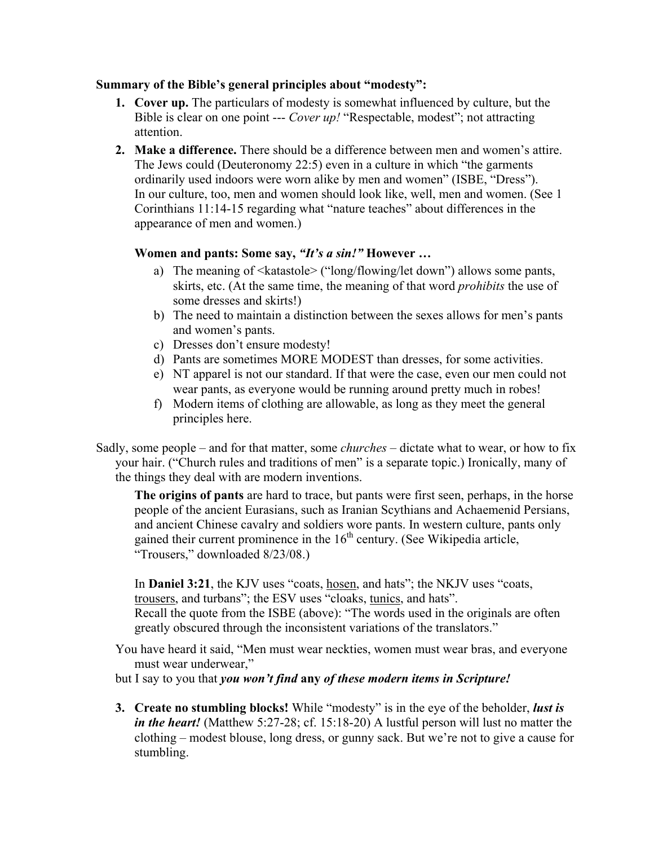#### **Summary of the Bible's general principles about "modesty":**

- **1. Cover up.** The particulars of modesty is somewhat influenced by culture, but the Bible is clear on one point --- *Cover up!* "Respectable, modest"; not attracting attention.
- **2. Make a difference.** There should be a difference between men and women's attire. The Jews could (Deuteronomy 22:5) even in a culture in which "the garments ordinarily used indoors were worn alike by men and women" (ISBE, "Dress"). In our culture, too, men and women should look like, well, men and women. (See 1 Corinthians 11:14-15 regarding what "nature teaches" about differences in the appearance of men and women.)

### **Women and pants: Some say,** *"It's a sin!"* **However …**

- a) The meaning of <katastole> ("long/flowing/let down") allows some pants, skirts, etc. (At the same time, the meaning of that word *prohibits* the use of some dresses and skirts!)
- b) The need to maintain a distinction between the sexes allows for men's pants and women's pants.
- c) Dresses don't ensure modesty!
- d) Pants are sometimes MORE MODEST than dresses, for some activities.
- e) NT apparel is not our standard. If that were the case, even our men could not wear pants, as everyone would be running around pretty much in robes!
- f) Modern items of clothing are allowable, as long as they meet the general principles here.

Sadly, some people – and for that matter, some *churches* – dictate what to wear, or how to fix your hair. ("Church rules and traditions of men" is a separate topic.) Ironically, many of the things they deal with are modern inventions.

**The origins of pants** are hard to trace, but pants were first seen, perhaps, in the horse people of the ancient Eurasians, such as Iranian Scythians and Achaemenid Persians, and ancient Chinese cavalry and soldiers wore pants. In western culture, pants only gained their current prominence in the  $16<sup>th</sup>$  century. (See Wikipedia article, "Trousers," downloaded 8/23/08.)

In **Daniel 3:21**, the KJV uses "coats, hosen, and hats"; the NKJV uses "coats, trousers, and turbans"; the ESV uses "cloaks, tunics, and hats". Recall the quote from the ISBE (above): "The words used in the originals are often greatly obscured through the inconsistent variations of the translators."

You have heard it said, "Men must wear neckties, women must wear bras, and everyone must wear underwear,"

but I say to you that *you won't find* **any** *of these modern items in Scripture!* 

**3. Create no stumbling blocks!** While "modesty" is in the eye of the beholder, *lust is in the heart!* (Matthew 5:27-28; cf. 15:18-20) A lustful person will lust no matter the clothing – modest blouse, long dress, or gunny sack. But we're not to give a cause for stumbling.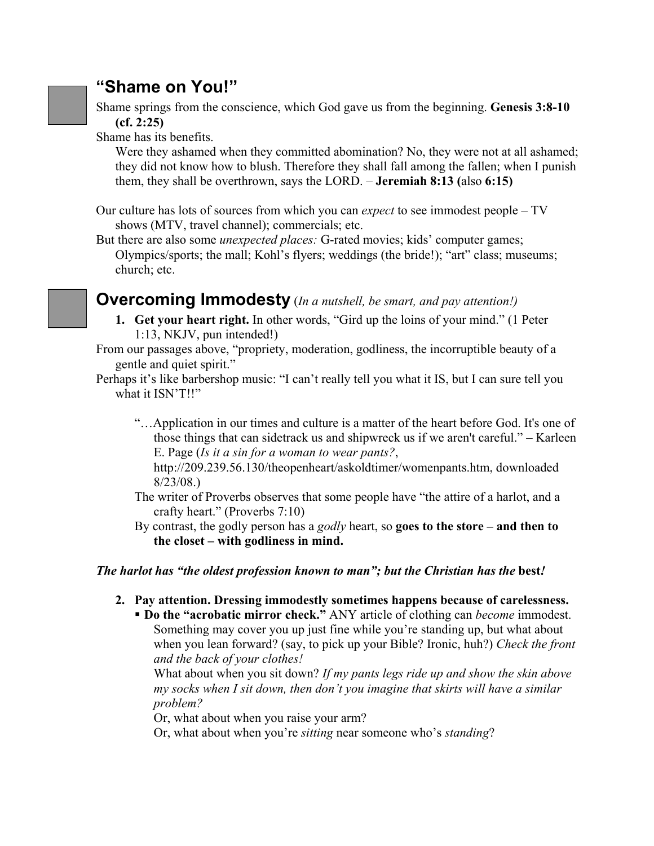### **"Shame on You!"**

Shame springs from the conscience, which God gave us from the beginning. **Genesis 3:8-10 (cf. 2:25)** 

Shame has its benefits.

Were they ashamed when they committed abomination? No, they were not at all ashamed; they did not know how to blush. Therefore they shall fall among the fallen; when I punish them, they shall be overthrown, says the LORD. – **Jeremiah 8:13 (**also **6:15)** 

- Our culture has lots of sources from which you can *expect* to see immodest people TV shows (MTV, travel channel); commercials; etc.
- But there are also some *unexpected places:* G-rated movies; kids' computer games; Olympics/sports; the mall; Kohl's flyers; weddings (the bride!); "art" class; museums; church; etc.

### **Overcoming Immodesty** (*In a nutshell, be smart, and pay attention!)*

- **1. Get your heart right.** In other words, "Gird up the loins of your mind." (1 Peter 1:13, NKJV, pun intended!)
- From our passages above, "propriety, moderation, godliness, the incorruptible beauty of a gentle and quiet spirit."

Perhaps it's like barbershop music: "I can't really tell you what it IS, but I can sure tell you what it ISN'T!!"

"…Application in our times and culture is a matter of the heart before God. It's one of those things that can sidetrack us and shipwreck us if we aren't careful." – Karleen E. Page (*Is it a sin for a woman to wear pants?*,

http://209.239.56.130/theopenheart/askoldtimer/womenpants.htm, downloaded 8/23/08.)

The writer of Proverbs observes that some people have "the attire of a harlot, and a crafty heart." (Proverbs 7:10)

By contrast, the godly person has a *godly* heart, so **goes to the store – and then to the closet – with godliness in mind.** 

### *The harlot has "the oldest profession known to man"; but the Christian has the best!*

**2. Pay attention. Dressing immodestly sometimes happens because of carelessness.** 

 **Do the "acrobatic mirror check."** ANY article of clothing can *become* immodest. Something may cover you up just fine while you're standing up, but what about when you lean forward? (say, to pick up your Bible? Ironic, huh?) *Check the front and the back of your clothes!*

What about when you sit down? *If my pants legs ride up and show the skin above my socks when I sit down, then don't you imagine that skirts will have a similar problem?*

Or, what about when you raise your arm?

Or, what about when you're *sitting* near someone who's *standing*?